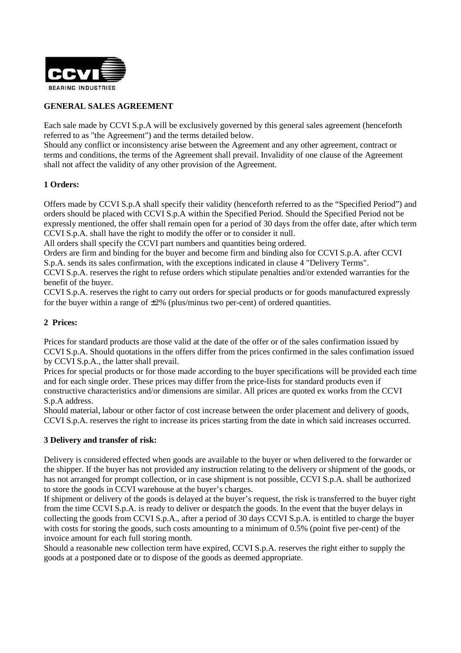

# **GENERAL SALES AGREEMENT**

Each sale made by CCVI S.p.A will be exclusively governed by this general sales agreement (henceforth referred to as "the Agreement") and the terms detailed below.

Should any conflict or inconsistency arise between the Agreement and any other agreement, contract or terms and conditions, the terms of the Agreement shall prevail. Invalidity of one clause of the Agreement shall not affect the validity of any other provision of the Agreement.

#### **1 Orders:**

Offers made by CCVI S.p.A shall specify their validity (henceforth referred to as the "Specified Period") and orders should be placed with CCVI S.p.A within the Specified Period. Should the Specified Period not be expressly mentioned, the offer shall remain open for a period of 30 days from the offer date, after which term CCVI S.p.A. shall have the right to modify the offer or to consider it null.

All orders shall specify the CCVI part numbers and quantities being ordered.

Orders are firm and binding for the buyer and become firm and binding also for CCVI S.p.A. after CCVI S.p.A. sends its sales confirmation, with the exceptions indicated in clause 4 "Delivery Terms".

CCVI S.p.A. reserves the right to refuse orders which stipulate penalties and/or extended warranties for the benefit of the buyer.

CCVI S.p.A. reserves the right to carry out orders for special products or for goods manufactured expressly for the buyer within a range of  $\pm 2\%$  (plus/minus two per-cent) of ordered quantities.

#### **2 Prices:**

Prices for standard products are those valid at the date of the offer or of the sales confirmation issued by CCVI S.p.A. Should quotations in the offers differ from the prices confirmed in the sales confimation issued by CCVI S.p.A., the latter shall prevail.

Prices for special products or for those made according to the buyer specifications will be provided each time and for each single order. These prices may differ from the price-lists for standard products even if constructive characteristics and/or dimensions are similar. All prices are quoted ex works from the CCVI S.p.A address.

Should material, labour or other factor of cost increase between the order placement and delivery of goods, CCVI S.p.A. reserves the right to increase its prices starting from the date in which said increases occurred.

#### **3 Delivery and transfer of risk:**

Delivery is considered effected when goods are available to the buyer or when delivered to the forwarder or the shipper. If the buyer has not provided any instruction relating to the delivery or shipment of the goods, or has not arranged for prompt collection, or in case shipment is not possible, CCVI S.p.A. shall be authorized to store the goods in CCVI warehouse at the buyer's charges.

If shipment or delivery of the goods is delayed at the buyer's request, the risk is transferred to the buyer right from the time CCVI S.p.A. is ready to deliver or despatch the goods. In the event that the buyer delays in collecting the goods from CCVI S.p.A., after a period of 30 days CCVI S.p.A. is entitled to charge the buyer with costs for storing the goods, such costs amounting to a minimum of 0.5% (point five per-cent) of the invoice amount for each full storing month.

Should a reasonable new collection term have expired, CCVI S.p.A. reserves the right either to supply the goods at a postponed date or to dispose of the goods as deemed appropriate.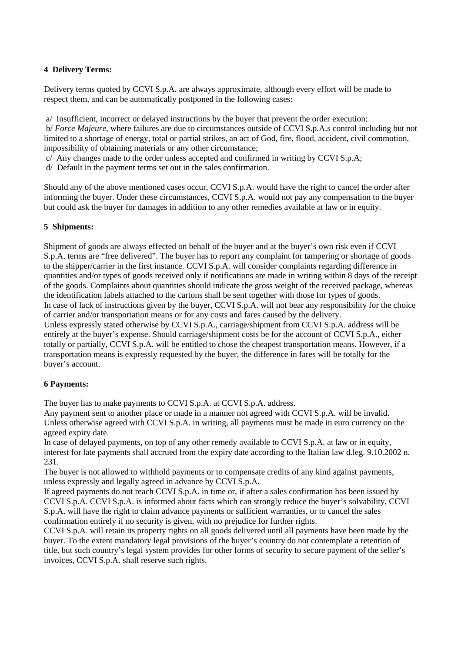## **4 Delivery Terms:**

Delivery terms quoted by CCVI S.p.A. are always approximate, although every effort will be made to respect them, and can be automatically postponed in the following cases:

a/ Insufficient, incorrect or delayed instructions by the buyer that prevent the order execution;

 b/ *Force Majeure*, where failures are due to circumstances outside of CCVI S.p.A.s control including but not limited to a shortage of energy, total or partial strikes, an act of God, fire, flood, accident, civil commotion, impossibility of obtaining materials or any other circumstance;

c/ Any changes made to the order unless accepted and confirmed in writing by CCVI S.p.A;

d/ Default in the payment terms set out in the sales confirmation.

Should any of the above mentioned cases occur, CCVI S.p.A. would have the right to cancel the order after informing the buyer. Under these circumstances, CCVI S.p.A. would not pay any compensation to the buyer but could ask the buyer for damages in addition to any other remedies available at law or in equity.

## **5 Shipments:**

Shipment of goods are always effected on behalf of the buyer and at the buyer's own risk even if CCVI S.p.A. terms are "free delivered". The buyer has to report any complaint for tampering or shortage of goods to the shipper/carrier in the first instance. CCVI S.p.A. will consider complaints regarding difference in quantities and/or types of goods received only if notifications are made in writing within 8 days of the receipt of the goods. Complaints about quantities should indicate the gross weight of the received package, whereas the identification labels attached to the cartons shall be sent together with those for types of goods. In case of lack of instructions given by the buyer, CCVI S.p.A. will not bear any responsibility for the choice of carrier and/or transportation means or for any costs and fares caused by the delivery. Unless expressly stated otherwise by CCVI S.p.A., carriage/shipment from CCVI S.p.A. address will be entirely at the buyer's expense. Should carriage/shipment costs be for the account of CCVI S.p.A., either totally or partially, CCVI S.p.A. will be entitled to chose the cheapest transportation means. However, if a transportation means is expressly requested by the buyer, the difference in fares will be totally for the buyer's account.

## **6 Payments:**

The buyer has to make payments to CCVI S.p.A. at CCVI S.p.A. address.

Any payment sent to another place or made in a manner not agreed with CCVI S.p.A. will be invalid. Unless otherwise agreed with CCVI S.p.A. in writing, all payments must be made in euro currency on the agreed expiry date.

In case of delayed payments, on top of any other remedy available to CCVI S.p.A. at law or in equity, interest for late payments shall accrued from the expiry date according to the Italian law d.leg. 9.10.2002 n. 231.

The buyer is not allowed to withhold payments or to compensate credits of any kind against payments, unless expressly and legally agreed in advance by CCVI S.p.A.

If agreed payments do not reach CCVI S.p.A. in time or, if after a sales confirmation has been issued by CCVI S.p.A. CCVI S.p.A. is informed about facts which can strongly reduce the buyer's solvability, CCVI S.p.A. will have the right to claim advance payments or sufficient warranties, or to cancel the sales confirmation entirely if no security is given, with no prejudice for further rights.

CCVI S.p.A. will retain its property rights on all goods delivered until all payments have been made by the buyer. To the extent mandatory legal provisions of the buyer's country do not contemplate a retention of title, but such country's legal system provides for other forms of security to secure payment of the seller's invoices, CCVI S.p.A. shall reserve such rights.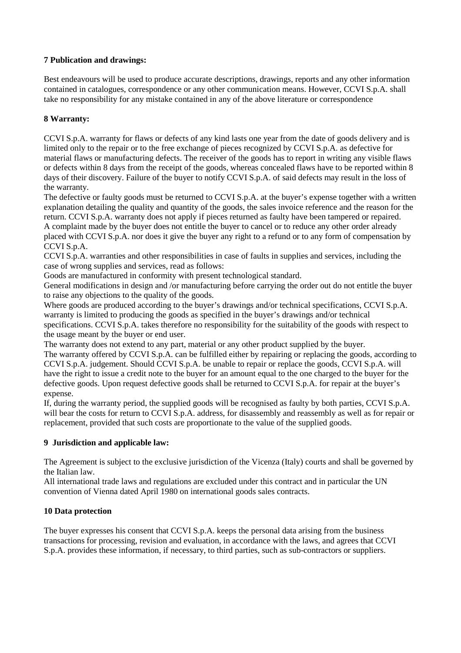## **7 Publication and drawings:**

Best endeavours will be used to produce accurate descriptions, drawings, reports and any other information contained in catalogues, correspondence or any other communication means. However, CCVI S.p.A. shall take no responsibility for any mistake contained in any of the above literature or correspondence

## **8 Warranty:**

CCVI S.p.A. warranty for flaws or defects of any kind lasts one year from the date of goods delivery and is limited only to the repair or to the free exchange of pieces recognized by CCVI S.p.A. as defective for material flaws or manufacturing defects. The receiver of the goods has to report in writing any visible flaws or defects within 8 days from the receipt of the goods, whereas concealed flaws have to be reported within 8 days of their discovery. Failure of the buyer to notify CCVI S.p.A. of said defects may result in the loss of the warranty.

The defective or faulty goods must be returned to CCVI S.p.A. at the buyer's expense together with a written explanation detailing the quality and quantity of the goods, the sales invoice reference and the reason for the return. CCVI S.p.A. warranty does not apply if pieces returned as faulty have been tampered or repaired. A complaint made by the buyer does not entitle the buyer to cancel or to reduce any other order already placed with CCVI S.p.A. nor does it give the buyer any right to a refund or to any form of compensation by CCVI S.p.A.

CCVI S.p.A. warranties and other responsibilities in case of faults in supplies and services, including the case of wrong supplies and services, read as follows:

Goods are manufactured in conformity with present technological standard.

General modifications in design and /or manufacturing before carrying the order out do not entitle the buyer to raise any objections to the quality of the goods.

Where goods are produced according to the buyer's drawings and/or technical specifications, CCVI S.p.A. warranty is limited to producing the goods as specified in the buyer's drawings and/or technical specifications. CCVI S.p.A. takes therefore no responsibility for the suitability of the goods with respect to the usage meant by the buyer or end user.

The warranty does not extend to any part, material or any other product supplied by the buyer.

The warranty offered by CCVI S.p.A. can be fulfilled either by repairing or replacing the goods, according to CCVI S.p.A. judgement. Should CCVI S.p.A. be unable to repair or replace the goods, CCVI S.p.A. will have the right to issue a credit note to the buyer for an amount equal to the one charged to the buyer for the defective goods. Upon request defective goods shall be returned to CCVI S.p.A. for repair at the buyer's expense.

If, during the warranty period, the supplied goods will be recognised as faulty by both parties, CCVI S.p.A. will bear the costs for return to CCVI S.p.A. address, for disassembly and reassembly as well as for repair or replacement, provided that such costs are proportionate to the value of the supplied goods.

## **9 Jurisdiction and applicable law:**

The Agreement is subject to the exclusive jurisdiction of the Vicenza (Italy) courts and shall be governed by the Italian law.

All international trade laws and regulations are excluded under this contract and in particular the UN convention of Vienna dated April 1980 on international goods sales contracts.

## **10 Data protection**

The buyer expresses his consent that CCVI S.p.A. keeps the personal data arising from the business transactions for processing, revision and evaluation, in accordance with the laws, and agrees that CCVI S.p.A. provides these information, if necessary, to third parties, such as sub-contractors or suppliers.